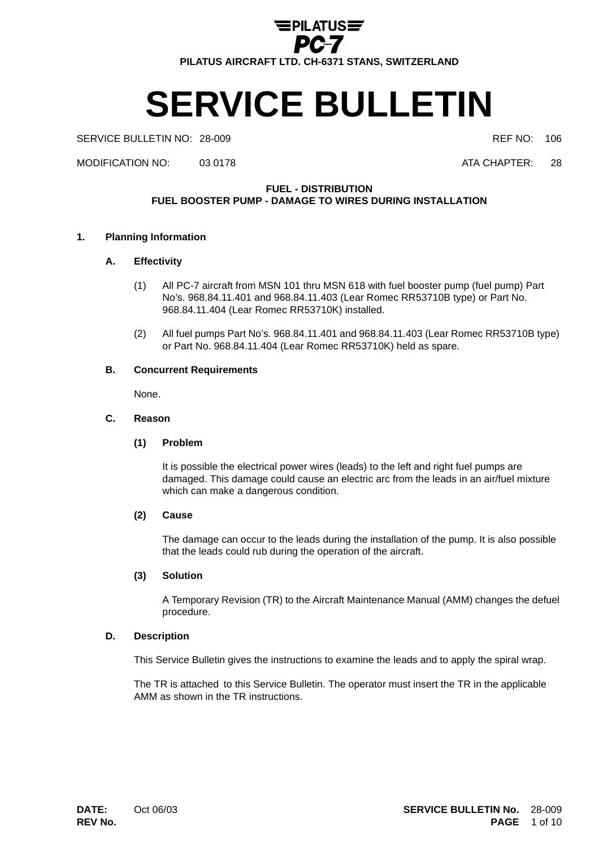

# **SERVICE BULLETIN**

## SERVICE BULLETIN NO: 28-009 **REF NO: 106** REF NO: 106

MODIFICATION NO: 03 0178 ATA CHAPTER: 28

# **FUEL - DISTRIBUTION**

**FUEL BOOSTER PUMP - DAMAGE TO WIRES DURING INSTALLATION**

## **1. Planning Information**

## **A. Effectivity**

- (1) All PC-7 aircraft from MSN 101 thru MSN 618 with fuel booster pump (fuel pump) Part No's. 968.84.11.401 and 968.84.11.403 (Lear Romec RR53710B type) or Part No. 968.84.11.404 (Lear Romec RR53710K) installed.
- (2) All fuel pumps Part No's. 968.84.11.401 and 968.84.11.403 (Lear Romec RR53710B type) or Part No. 968.84.11.404 (Lear Romec RR53710K) held as spare.

## **B. Concurrent Requirements**

None.

## **C. Reason**

# **(1) Problem**

It is possible the electrical power wires (leads) to the left and right fuel pumps are damaged. This damage could cause an electric arc from the leads in an air/fuel mixture which can make a dangerous condition.

# **(2) Cause**

The damage can occur to the leads during the installation of the pump. It is also possible that the leads could rub during the operation of the aircraft.

## **(3) Solution**

A Temporary Revision (TR) to the Aircraft Maintenance Manual (AMM) changes the defuel procedure.

## **D. Description**

This Service Bulletin gives the instructions to examine the leads and to apply the spiral wrap.

The TR is attached to this Service Bulletin. The operator must insert the TR in the applicable AMM as shown in the TR instructions.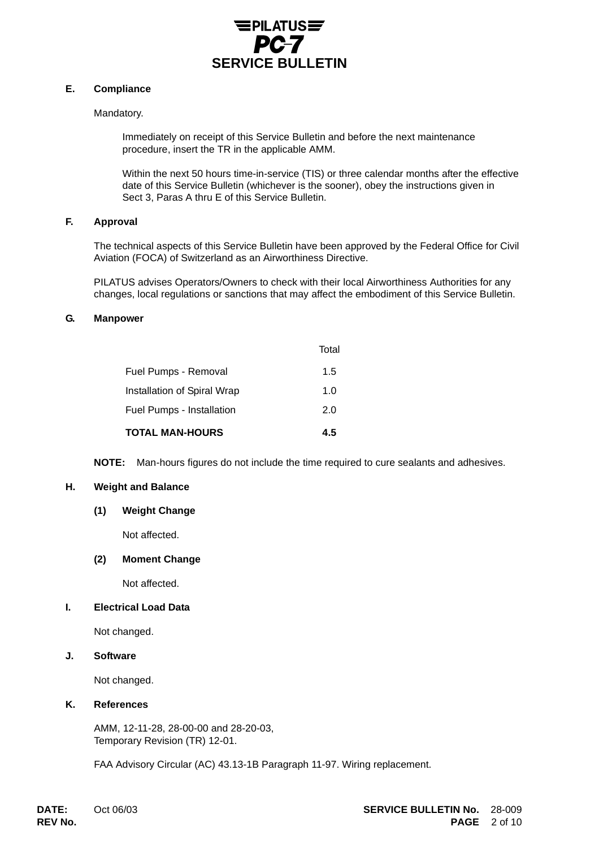

# **E. Compliance**

# Mandatory.

Immediately on receipt of this Service Bulletin and before the next maintenance procedure, insert the TR in the applicable AMM.

Within the next 50 hours time-in-service (TIS) or three calendar months after the effective date of this Service Bulletin (whichever is the sooner), obey the instructions given in Sect 3, Paras A thru E of this Service Bulletin.

# **F. Approval**

The technical aspects of this Service Bulletin have been approved by the Federal Office for Civil Aviation (FOCA) of Switzerland as an Airworthiness Directive.

PILATUS advises Operators/Owners to check with their local Airworthiness Authorities for any changes, local regulations or sanctions that may affect the embodiment of this Service Bulletin.

## **G. Manpower**

| <b>TOTAL MAN-HOURS</b>      | 4.5   |
|-----------------------------|-------|
| Fuel Pumps - Installation   | 2.0   |
| Installation of Spiral Wrap | 1.0   |
| Fuel Pumps - Removal        | 1.5   |
|                             | Total |

**NOTE:** Man-hours figures do not include the time required to cure sealants and adhesives.

# **H. Weight and Balance**

## **(1) Weight Change**

Not affected.

# **(2) Moment Change**

Not affected.

# **I. Electrical Load Data**

Not changed.

# **J. Software**

Not changed.

## **K. References**

AMM, 12-11-28, 28-00-00 and 28-20-03, Temporary Revision (TR) 12-01.

FAA Advisory Circular (AC) 43.13-1B Paragraph 11-97. Wiring replacement.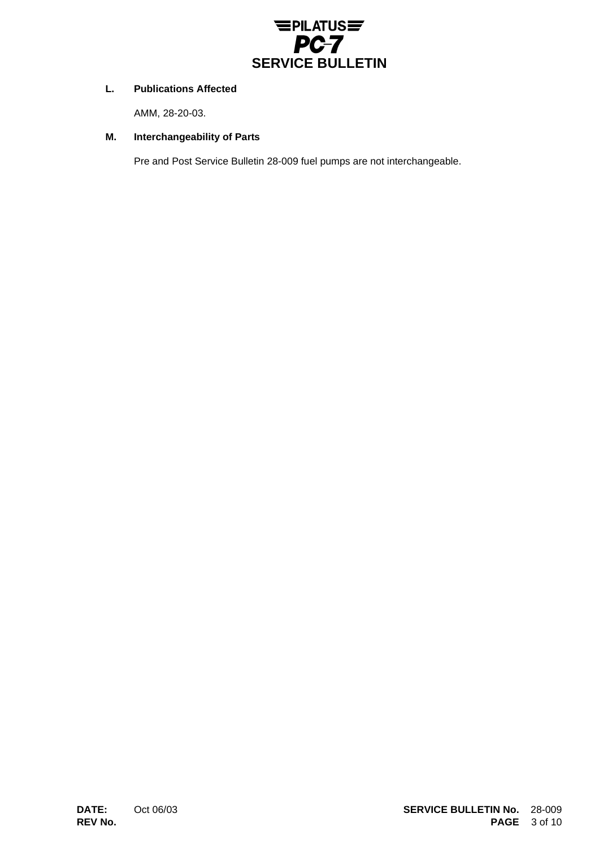

# **L. Publications Affected**

AMM, 28-20-03.

# **M. Interchangeability of Parts**

Pre and Post Service Bulletin 28-009 fuel pumps are not interchangeable.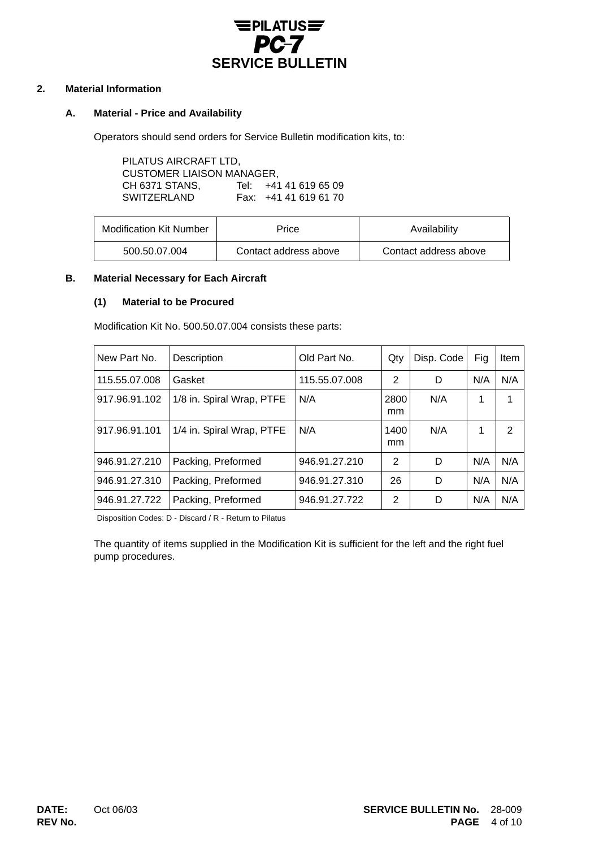

# **2. Material Information**

# **A. Material - Price and Availability**

Operators should send orders for Service Bulletin modification kits, to:

PILATUS AIRCRAFT LTD, CUSTOMER LIAISON MANAGER, CH 6371 STANS, Tel: +41 41 619 65 09 SWITZERLAND Fax: +41 41 619 61 70

| <b>Modification Kit Number</b> | Price                 | Availability          |  |  |
|--------------------------------|-----------------------|-----------------------|--|--|
| 500.50.07.004                  | Contact address above | Contact address above |  |  |

# **B. Material Necessary for Each Aircraft**

## **(1) Material to be Procured**

Modification Kit No. 500.50.07.004 consists these parts:

| New Part No.  | Description               | Old Part No.  | Qty        | Disp. Code | Fig | Item |
|---------------|---------------------------|---------------|------------|------------|-----|------|
| 115.55.07.008 | Gasket                    | 115.55.07.008 | 2          | D          | N/A | N/A  |
| 917.96.91.102 | 1/8 in. Spiral Wrap, PTFE | N/A           | 2800<br>mm | N/A        | 1   | 1    |
| 917.96.91.101 | 1/4 in. Spiral Wrap, PTFE | N/A           | 1400<br>mm | N/A        | 1   | 2    |
| 946.91.27.210 | Packing, Preformed        | 946.91.27.210 | 2          | D          | N/A | N/A  |
| 946.91.27.310 | Packing, Preformed        | 946.91.27.310 | 26         | D          | N/A | N/A  |
| 946.91.27.722 | Packing, Preformed        | 946.91.27.722 | 2          | D          | N/A | N/A  |

Disposition Codes: D - Discard / R - Return to Pilatus

The quantity of items supplied in the Modification Kit is sufficient for the left and the right fuel pump procedures.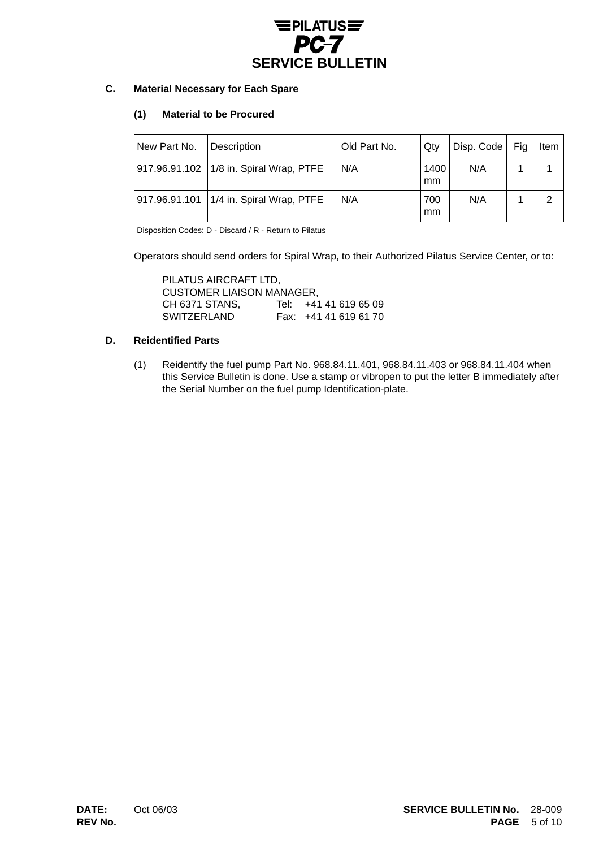

# **C. Material Necessary for Each Spare**

# **(1) Material to be Procured**

| New Part No. | Description                               | Old Part No. | Qty        | Disp. Code | Fig | ltem           |
|--------------|-------------------------------------------|--------------|------------|------------|-----|----------------|
|              | 917.96.91.102   1/8 in. Spiral Wrap, PTFE | N/A          | 1400<br>mm | N/A        |     |                |
|              | 917.96.91.101   1/4 in. Spiral Wrap, PTFE | N/A          | 700<br>mm  | N/A        |     | $\overline{2}$ |

Disposition Codes: D - Discard / R - Return to Pilatus

Operators should send orders for Spiral Wrap, to their Authorized Pilatus Service Center, or to:

PILATUS AIRCRAFT LTD, CUSTOMER LIAISON MANAGER, CH 6371 STANS, Tel: +41 41 619 65 09 SWITZERLAND Fax: +41 41 619 61 70

# **D. Reidentified Parts**

(1) Reidentify the fuel pump Part No. 968.84.11.401, 968.84.11.403 or 968.84.11.404 when this Service Bulletin is done. Use a stamp or vibropen to put the letter B immediately after the Serial Number on the fuel pump Identification-plate.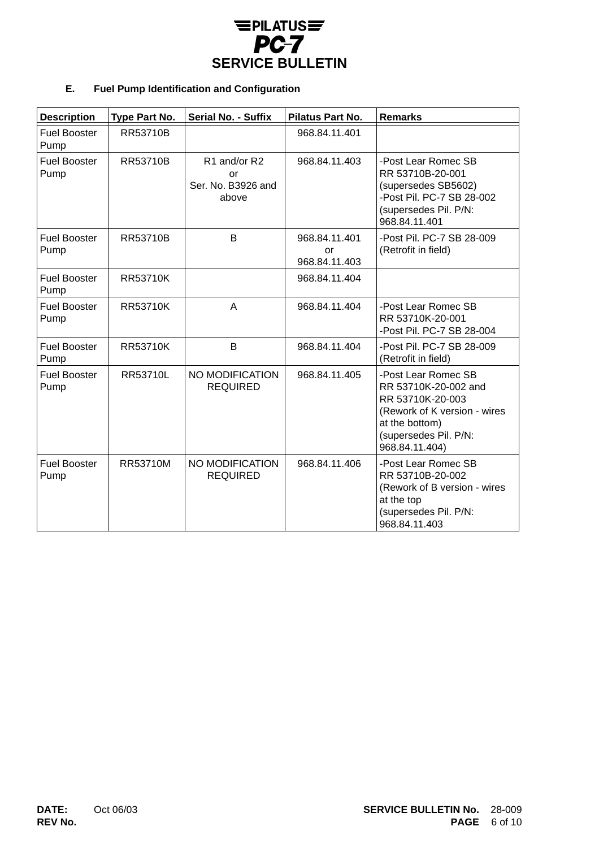

# **E. Fuel Pump Identification and Configuration**

| <b>Description</b>          | Type Part No.   | <b>Serial No. - Suffix</b>                        | <b>Pilatus Part No.</b>              | <b>Remarks</b>                                                                                                                                               |
|-----------------------------|-----------------|---------------------------------------------------|--------------------------------------|--------------------------------------------------------------------------------------------------------------------------------------------------------------|
| <b>Fuel Booster</b><br>Pump | RR53710B        |                                                   | 968.84.11.401                        |                                                                                                                                                              |
| <b>Fuel Booster</b><br>Pump | RR53710B        | R1 and/or R2<br>or<br>Ser. No. B3926 and<br>above | 968.84.11.403                        | -Post Lear Romec SB<br>RR 53710B-20-001<br>(supersedes SB5602)<br>-Post Pil. PC-7 SB 28-002<br>(supersedes Pil. P/N:<br>968.84.11.401                        |
| <b>Fuel Booster</b><br>Pump | RR53710B        | B                                                 | 968.84.11.401<br>or<br>968.84.11.403 | -Post Pil. PC-7 SB 28-009<br>(Retrofit in field)                                                                                                             |
| <b>Fuel Booster</b><br>Pump | <b>RR53710K</b> |                                                   | 968.84.11.404                        |                                                                                                                                                              |
| <b>Fuel Booster</b><br>Pump | <b>RR53710K</b> | A                                                 | 968.84.11.404                        | -Post Lear Romec SB<br>RR 53710K-20-001<br>-Post Pil. PC-7 SB 28-004                                                                                         |
| <b>Fuel Booster</b><br>Pump | <b>RR53710K</b> | B                                                 | 968.84.11.404                        | -Post Pil. PC-7 SB 28-009<br>(Retrofit in field)                                                                                                             |
| <b>Fuel Booster</b><br>Pump | RR53710L        | NO MODIFICATION<br><b>REQUIRED</b>                | 968.84.11.405                        | -Post Lear Romec SB<br>RR 53710K-20-002 and<br>RR 53710K-20-003<br>(Rework of K version - wires<br>at the bottom)<br>(supersedes Pil. P/N:<br>968.84.11.404) |
| <b>Fuel Booster</b><br>Pump | RR53710M        | NO MODIFICATION<br><b>REQUIRED</b>                | 968.84.11.406                        | -Post Lear Romec SB<br>RR 53710B-20-002<br>(Rework of B version - wires<br>at the top<br>(supersedes Pil. P/N:<br>968.84.11.403                              |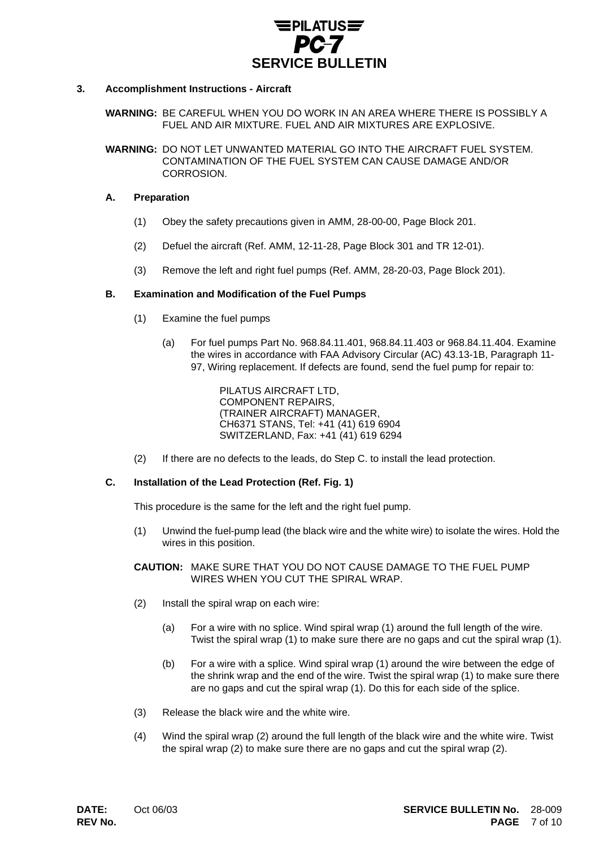

## **3. Accomplishment Instructions - Aircraft**

**WARNING:** BE CAREFUL WHEN YOU DO WORK IN AN AREA WHERE THERE IS POSSIBLY A FUEL AND AIR MIXTURE. FUEL AND AIR MIXTURES ARE EXPLOSIVE.

**WARNING:** DO NOT LET UNWANTED MATERIAL GO INTO THE AIRCRAFT FUEL SYSTEM. CONTAMINATION OF THE FUEL SYSTEM CAN CAUSE DAMAGE AND/OR **CORROSION** 

## **A. Preparation**

- (1) Obey the safety precautions given in AMM, 28-00-00, Page Block 201.
- (2) Defuel the aircraft (Ref. AMM, 12-11-28, Page Block 301 and TR 12-01).
- (3) Remove the left and right fuel pumps (Ref. AMM, 28-20-03, Page Block 201).

## **B. Examination and Modification of the Fuel Pumps**

- (1) Examine the fuel pumps
	- (a) For fuel pumps Part No. 968.84.11.401, 968.84.11.403 or 968.84.11.404. Examine the wires in accordance with FAA Advisory Circular (AC) 43.13-1B, Paragraph 11- 97, Wiring replacement. If defects are found, send the fuel pump for repair to:

PILATUS AIRCRAFT LTD, COMPONENT REPAIRS, (TRAINER AIRCRAFT) MANAGER, CH6371 STANS, Tel: +41 (41) 619 6904 SWITZERLAND, Fax: +41 (41) 619 6294

(2) If there are no defects to the leads, do Step C. to install the lead protection.

# **C. Installation of the Lead Protection (Ref. Fig. 1)**

This procedure is the same for the left and the right fuel pump.

(1) Unwind the fuel-pump lead (the black wire and the white wire) to isolate the wires. Hold the wires in this position.

**CAUTION:** MAKE SURE THAT YOU DO NOT CAUSE DAMAGE TO THE FUEL PUMP WIRES WHEN YOU CUT THE SPIRAL WRAP.

- (2) Install the spiral wrap on each wire:
	- (a) For a wire with no splice. Wind spiral wrap (1) around the full length of the wire. Twist the spiral wrap (1) to make sure there are no gaps and cut the spiral wrap (1).
	- (b) For a wire with a splice. Wind spiral wrap (1) around the wire between the edge of the shrink wrap and the end of the wire. Twist the spiral wrap (1) to make sure there are no gaps and cut the spiral wrap (1). Do this for each side of the splice.
- (3) Release the black wire and the white wire.
- (4) Wind the spiral wrap (2) around the full length of the black wire and the white wire. Twist the spiral wrap (2) to make sure there are no gaps and cut the spiral wrap (2).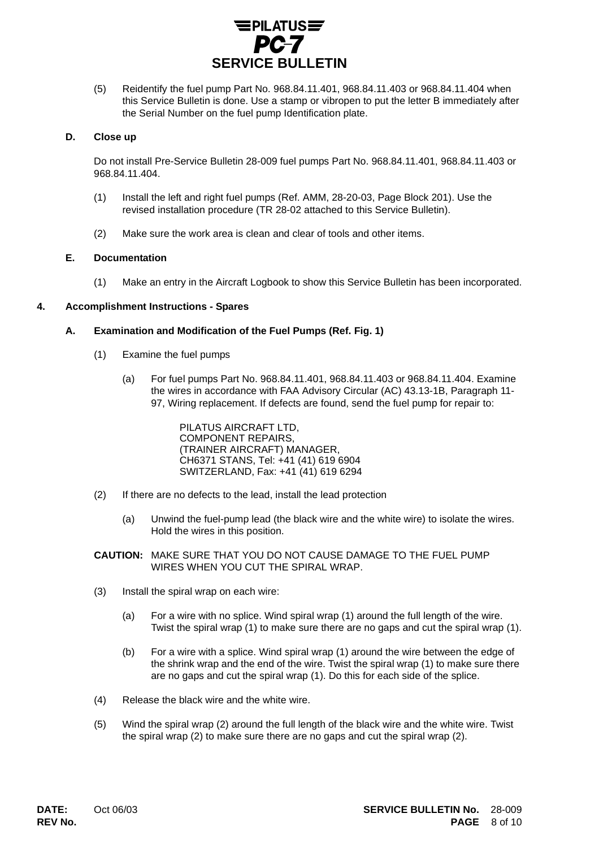

(5) Reidentify the fuel pump Part No. 968.84.11.401, 968.84.11.403 or 968.84.11.404 when this Service Bulletin is done. Use a stamp or vibropen to put the letter B immediately after the Serial Number on the fuel pump Identification plate.

## **D. Close up**

Do not install Pre-Service Bulletin 28-009 fuel pumps Part No. 968.84.11.401, 968.84.11.403 or 968.84.11.404.

- (1) Install the left and right fuel pumps (Ref. AMM, 28-20-03, Page Block 201). Use the revised installation procedure (TR 28-02 attached to this Service Bulletin).
- (2) Make sure the work area is clean and clear of tools and other items.

## **E. Documentation**

(1) Make an entry in the Aircraft Logbook to show this Service Bulletin has been incorporated.

## **4. Accomplishment Instructions - Spares**

## **A. Examination and Modification of the Fuel Pumps (Ref. Fig. 1)**

- (1) Examine the fuel pumps
	- (a) For fuel pumps Part No. 968.84.11.401, 968.84.11.403 or 968.84.11.404. Examine the wires in accordance with FAA Advisory Circular (AC) 43.13-1B, Paragraph 11- 97, Wiring replacement. If defects are found, send the fuel pump for repair to:

PILATUS AIRCRAFT LTD, COMPONENT REPAIRS, (TRAINER AIRCRAFT) MANAGER, CH6371 STANS, Tel: +41 (41) 619 6904 SWITZERLAND, Fax: +41 (41) 619 6294

- (2) If there are no defects to the lead, install the lead protection
	- (a) Unwind the fuel-pump lead (the black wire and the white wire) to isolate the wires. Hold the wires in this position.
- **CAUTION:** MAKE SURE THAT YOU DO NOT CAUSE DAMAGE TO THE FUEL PUMP WIRES WHEN YOU CUT THE SPIRAL WRAP.
- (3) Install the spiral wrap on each wire:
	- (a) For a wire with no splice. Wind spiral wrap (1) around the full length of the wire. Twist the spiral wrap (1) to make sure there are no gaps and cut the spiral wrap (1).
	- (b) For a wire with a splice. Wind spiral wrap (1) around the wire between the edge of the shrink wrap and the end of the wire. Twist the spiral wrap (1) to make sure there are no gaps and cut the spiral wrap (1). Do this for each side of the splice.
- (4) Release the black wire and the white wire.
- (5) Wind the spiral wrap (2) around the full length of the black wire and the white wire. Twist the spiral wrap (2) to make sure there are no gaps and cut the spiral wrap (2).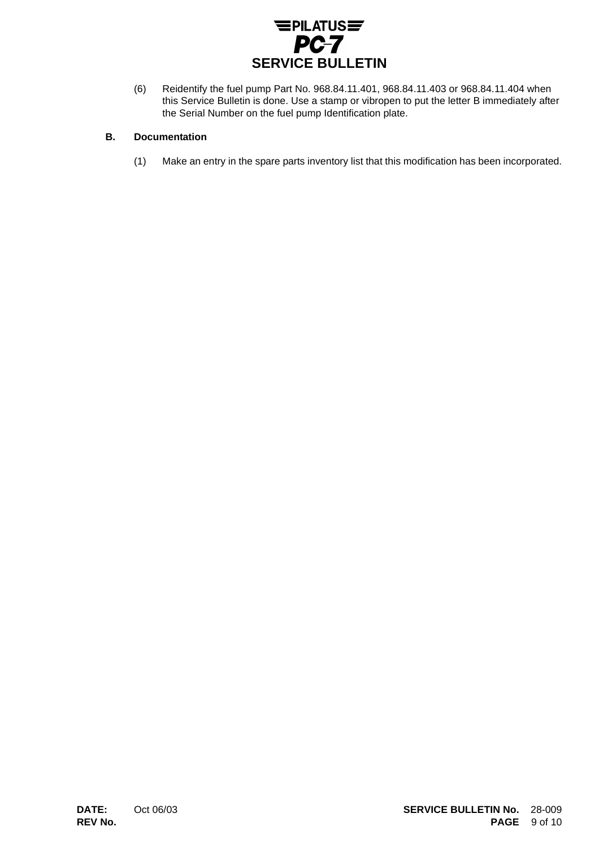

(6) Reidentify the fuel pump Part No. 968.84.11.401, 968.84.11.403 or 968.84.11.404 when this Service Bulletin is done. Use a stamp or vibropen to put the letter B immediately after the Serial Number on the fuel pump Identification plate.

# **B. Documentation**

(1) Make an entry in the spare parts inventory list that this modification has been incorporated.